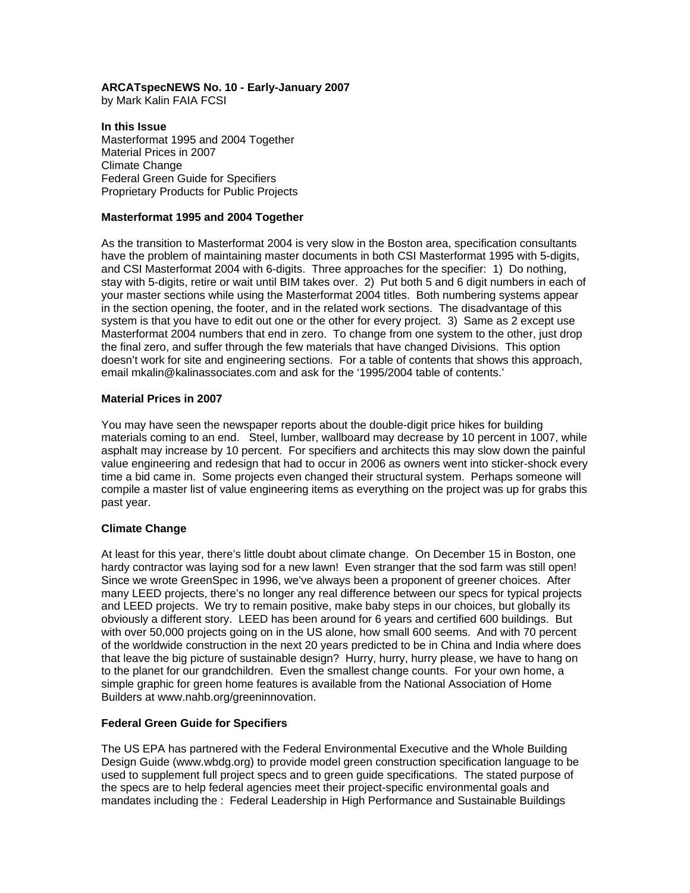# **ARCATspecNEWS No. 10 - Early-January 2007**

by Mark Kalin FAIA FCSI

**In this Issue**  Masterformat 1995 and 2004 Together Material Prices in 2007 Climate Change Federal Green Guide for Specifiers Proprietary Products for Public Projects

## **Masterformat 1995 and 2004 Together**

As the transition to Masterformat 2004 is very slow in the Boston area, specification consultants have the problem of maintaining master documents in both CSI Masterformat 1995 with 5-digits, and CSI Masterformat 2004 with 6-digits. Three approaches for the specifier: 1) Do nothing, stay with 5-digits, retire or wait until BIM takes over. 2) Put both 5 and 6 digit numbers in each of your master sections while using the Masterformat 2004 titles. Both numbering systems appear in the section opening, the footer, and in the related work sections. The disadvantage of this system is that you have to edit out one or the other for every project. 3) Same as 2 except use Masterformat 2004 numbers that end in zero. To change from one system to the other, just drop the final zero, and suffer through the few materials that have changed Divisions. This option doesn't work for site and engineering sections. For a table of contents that shows this approach, email mkalin@kalinassociates.com and ask for the '1995/2004 table of contents.'

### **Material Prices in 2007**

You may have seen the newspaper reports about the double-digit price hikes for building materials coming to an end. Steel, lumber, wallboard may decrease by 10 percent in 1007, while asphalt may increase by 10 percent. For specifiers and architects this may slow down the painful value engineering and redesign that had to occur in 2006 as owners went into sticker-shock every time a bid came in. Some projects even changed their structural system. Perhaps someone will compile a master list of value engineering items as everything on the project was up for grabs this past year.

### **Climate Change**

At least for this year, there's little doubt about climate change. On December 15 in Boston, one hardy contractor was laying sod for a new lawn! Even stranger that the sod farm was still open! Since we wrote GreenSpec in 1996, we've always been a proponent of greener choices. After many LEED projects, there's no longer any real difference between our specs for typical projects and LEED projects. We try to remain positive, make baby steps in our choices, but globally its obviously a different story. LEED has been around for 6 years and certified 600 buildings. But with over 50,000 projects going on in the US alone, how small 600 seems. And with 70 percent of the worldwide construction in the next 20 years predicted to be in China and India where does that leave the big picture of sustainable design? Hurry, hurry, hurry please, we have to hang on to the planet for our grandchildren. Even the smallest change counts. For your own home, a simple graphic for green home features is available from the National Association of Home Builders at www.nahb.org/greeninnovation.

### **Federal Green Guide for Specifiers**

The US EPA has partnered with the Federal Environmental Executive and the Whole Building Design Guide (www.wbdg.org) to provide model green construction specification language to be used to supplement full project specs and to green guide specifications. The stated purpose of the specs are to help federal agencies meet their project-specific environmental goals and mandates including the : Federal Leadership in High Performance and Sustainable Buildings